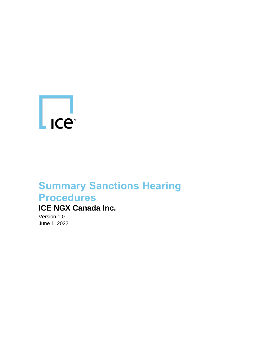

## **Summary Sanctions Hearing Procedures**

## **ICE NGX Canada Inc.**

Version 1.0 June 1, 2022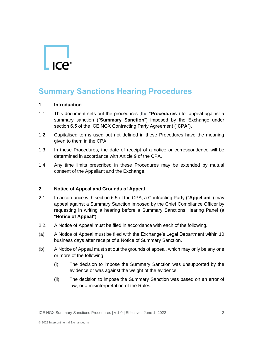# $\mathsf{L}$  ICe<sup>®</sup>

### **Summary Sanctions Hearing Procedures**

#### **1 Introduction**

- 1.1 This document sets out the procedures (the "**Procedures**") for appeal against a summary sanction ("**Summary Sanction**") imposed by the Exchange under section 6.5 of the ICE NGX Contracting Party Agreement ("**CPA**").
- 1.2 Capitalised terms used but not defined in these Procedures have the meaning given to them in the CPA.
- 1.3 In these Procedures, the date of receipt of a notice or correspondence will be determined in accordance with Article 9 of the CPA.
- 1.4 Any time limits prescribed in these Procedures may be extended by mutual consent of the Appellant and the Exchange.

#### **2 Notice of Appeal and Grounds of Appeal**

- 2.1 In accordance with section 6.5 of the CPA, a Contracting Party ("**Appellant**") may appeal against a Summary Sanction imposed by the Chief Compliance Officer by requesting in writing a hearing before a Summary Sanctions Hearing Panel (a "**Notice of Appeal**").
- 2.2. A Notice of Appeal must be filed in accordance with each of the following.
- (a) A Notice of Appeal must be filed with the Exchange's Legal Department within 10 business days after receipt of a Notice of Summary Sanction.
- (b) A Notice of Appeal must set out the grounds of appeal, which may only be any one or more of the following.
	- (i) The decision to impose the Summary Sanction was unsupported by the evidence or was against the weight of the evidence.
	- (ii) The decision to impose the Summary Sanction was based on an error of law, or a misinterpretation of the Rules.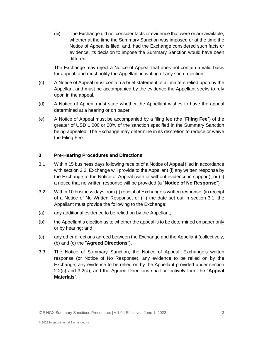(iii) The Exchange did not consider facts or evidence that were or are available, whether at the time the Summary Sanction was imposed or at the time the Notice of Appeal is filed, and, had the Exchange considered such facts or evidence, its decision to impose the Summary Sanction would have been different.

The Exchange may reject a Notice of Appeal that does not contain a valid basis for appeal, and must notify the Appellant in writing of any such rejection.

- (c) A Notice of Appeal must contain a brief statement of all matters relied upon by the Appellant and must be accompanied by the evidence the Appellant seeks to rely upon in the appeal.
- (d) A Notice of Appeal must state whether the Appellant wishes to have the appeal determined at a hearing or on paper.
- (e) A Notice of Appeal must be accompanied by a filing fee (the "**Filing Fee**") of the greater of USD 1,000 or 20% of the sanction specified in the Summary Sanction being appealed. The Exchange may determine in its discretion to reduce or waive the Filing Fee.

#### **3 Pre-Hearing Procedures and Directions**

- 3.1 Within 15 business days following receipt of a Notice of Appeal filed in accordance with section 2.2, Exchange will provide to the Appellant (i) any written response by the Exchange to the Notice of Appeal (with or without evidence in support), or (ii) a notice that no written response will be provided (a "**Notice of No Response**").
- 3.2 Within 10 business days from (i) receipt of Exchange's written response, (ii) receipt of a Notice of No Written Response, or (iii) the date set out in section 3.1, the Appellant must provide the following to the Exchange:
- (a) any additional evidence to be relied on by the Appellant;
- (b) the Appellant's election as to whether the appeal is to be determined on paper only or by hearing; and
- (c) any other directions agreed between the Exchange and the Appellant (collectively, (b) and (c) the "**Agreed Directions**").
- 3.3 The Notice of Summary Sanction, the Notice of Appeal, Exchange's written response (or Notice of No Response), any evidence to be relied on by the Exchange, any evidence to be relied on by the Appellant provided under section 2.2(c) and 3.2(a), and the Agreed Directions shall collectively form the "**Appeal Materials**".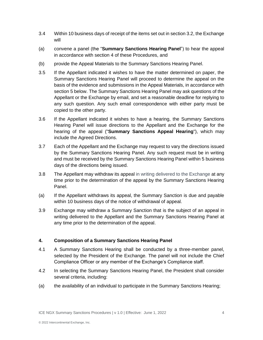- 3.4 Within 10 business days of receipt of the items set out in section 3.2, the Exchange will
- (a) convene a panel (the "**Summary Sanctions Hearing Panel**") to hear the appeal in accordance with section 4 of these Procedures, and
- (b) provide the Appeal Materials to the Summary Sanctions Hearing Panel.
- 3.5 If the Appellant indicated it wishes to have the matter determined on paper, the Summary Sanctions Hearing Panel will proceed to determine the appeal on the basis of the evidence and submissions in the Appeal Materials, in accordance with section 5 below. The Summary Sanctions Hearing Panel may ask questions of the Appellant or the Exchange by email, and set a reasonable deadline for replying to any such question. Any such email correspondence with either party must be copied to the other party.
- 3.6 If the Appellant indicated it wishes to have a hearing, the Summary Sanctions Hearing Panel will issue directions to the Appellant and the Exchange for the hearing of the appeal ("**Summary Sanctions Appeal Hearing**"), which may include the Agreed Directions.
- 3.7 Each of the Appellant and the Exchange may request to vary the directions issued by the Summary Sanctions Hearing Panel. Any such request must be in writing and must be received by the Summary Sanctions Hearing Panel within 5 business days of the directions being issued.
- 3.8 The Appellant may withdraw its appeal in writing delivered to the Exchange at any time prior to the determination of the appeal by the Summary Sanctions Hearing Panel.
- (a) If the Appellant withdraws its appeal, the Summary Sanction is due and payable within 10 business days of the notice of withdrawal of appeal.
- 3.9 Exchange may withdraw a Summary Sanction that is the subject of an appeal in writing delivered to the Appellant and the Summary Sanctions Hearing Panel at any time prior to the determination of the appeal.

#### **4. Composition of a Summary Sanctions Hearing Panel**

- 4.1 A Summary Sanctions Hearing shall be conducted by a three-member panel, selected by the President of the Exchange. The panel will not include the Chief Compliance Officer or any member of the Exchange's Compliance staff.
- 4.2 In selecting the Summary Sanctions Hearing Panel, the President shall consider several criteria, including:
- (a) the availability of an individual to participate in the Summary Sanctions Hearing;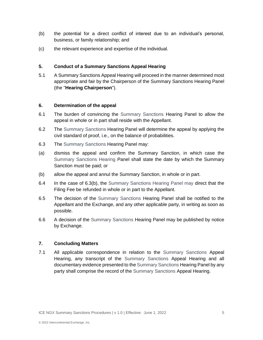- (b) the potential for a direct conflict of interest due to an individual's personal, business, or family relationship; and
- (c) the relevant experience and expertise of the individual.

#### **5. Conduct of a Summary Sanctions Appeal Hearing**

5.1 A Summary Sanctions Appeal Hearing will proceed in the manner determined most appropriate and fair by the Chairperson of the Summary Sanctions Hearing Panel (the "**Hearing Chairperson**").

#### **6. Determination of the appeal**

- 6.1 The burden of convincing the Summary Sanctions Hearing Panel to allow the appeal in whole or in part shall reside with the Appellant.
- 6.2 The Summary Sanctions Hearing Panel will determine the appeal by applying the civil standard of proof, i.e., on the balance of probabilities.
- 6.3 The Summary Sanctions Hearing Panel may:
- (a) dismiss the appeal and confirm the Summary Sanction, in which case the Summary Sanctions Hearing Panel shall state the date by which the Summary Sanction must be paid; or
- (b) allow the appeal and annul the Summary Sanction, in whole or in part.
- 6.4 In the case of 6.3(b), the Summary Sanctions Hearing Panel may direct that the Filing Fee be refunded in whole or in part to the Appellant.
- 6.5 The decision of the Summary Sanctions Hearing Panel shall be notified to the Appellant and the Exchange, and any other applicable party, in writing as soon as possible.
- 6.6 A decision of the Summary Sanctions Hearing Panel may be published by notice by Exchange.

#### **7. Concluding Matters**

7.1 All applicable correspondence in relation to the Summary Sanctions Appeal Hearing, any transcript of the Summary Sanctions Appeal Hearing and all documentary evidence presented to the Summary Sanctions Hearing Panel by any party shall comprise the record of the Summary Sanctions Appeal Hearing.